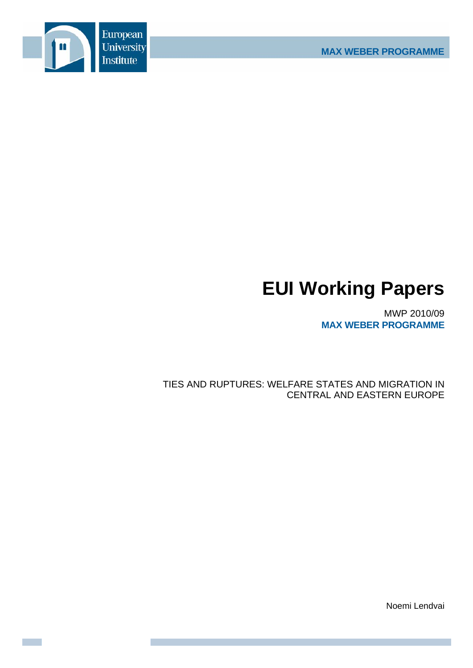

# **EUI Working Papers**

MWP 2010/09 **MAX WEBER PROGRAMME** 

TIES AND RUPTURES: WELFARE STATES AND MIGRATION IN **CENTRAL AND EASTERN EUROPE** 

Noemi Lendvai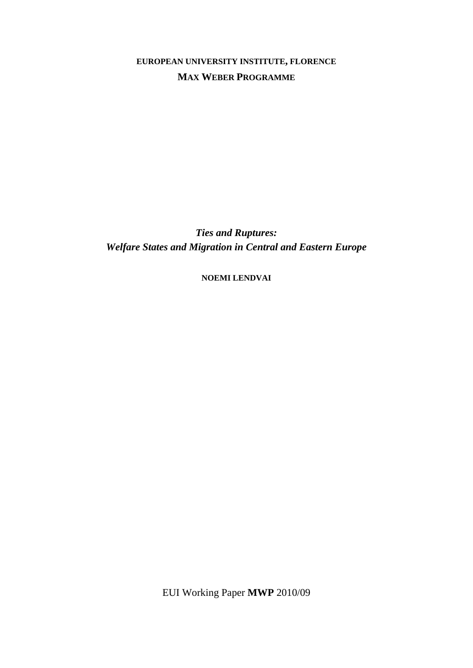**EUROPEAN UNIVERSITY INSTITUTE, FLORENCE MAX WEBER PROGRAMME**

*Ties and Ruptures: Welfare States and Migration in Central and Eastern Europe* 

**NOEMI LENDVAI**

EUI Working Paper **MWP** 2010/09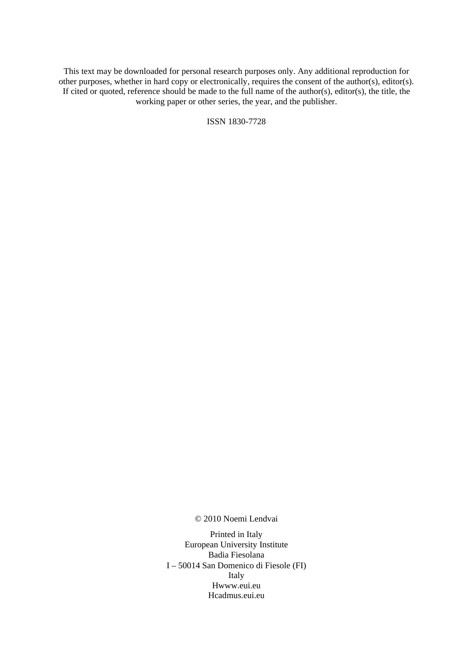This text may be downloaded for personal research purposes only. Any additional reproduction for other purposes, whether in hard copy or electronically, requires the consent of the author(s), editor(s). If cited or quoted, reference should be made to the full name of the author(s), editor(s), the title, the working paper or other series, the year, and the publisher.

ISSN 1830-7728

© 2010 Noemi Lendvai

Printed in Italy European University Institute Badia Fiesolana I – 50014 San Domenico di Fiesole (FI) Italy Hwww.eui.eu H cadmus.eui.eu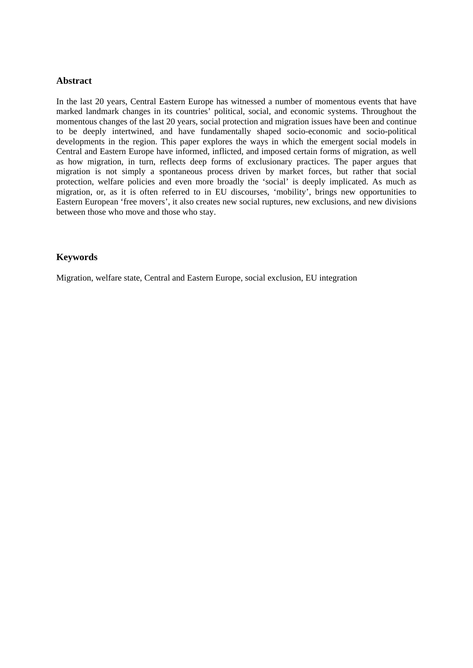#### **Abstract**

In the last 20 years, Central Eastern Europe has witnessed a number of momentous events that have marked landmark changes in its countries' political, social, and economic systems. Throughout the momentous changes of the last 20 years, social protection and migration issues have been and continue to be deeply intertwined, and have fundamentally shaped socio-economic and socio-political developments in the region. This paper explores the ways in which the emergent social models in Central and Eastern Europe have informed, inflicted, and imposed certain forms of migration, as well as how migration, in turn, reflects deep forms of exclusionary practices. The paper argues that migration is not simply a spontaneous process driven by market forces, but rather that social protection, welfare policies and even more broadly the 'social' is deeply implicated. As much as migration, or, as it is often referred to in EU discourses, 'mobility', brings new opportunities to Eastern European 'free movers', it also creates new social ruptures, new exclusions, and new divisions between those who move and those who stay.

# **Keywords**

Migration, welfare state, Central and Eastern Europe, social exclusion, EU integration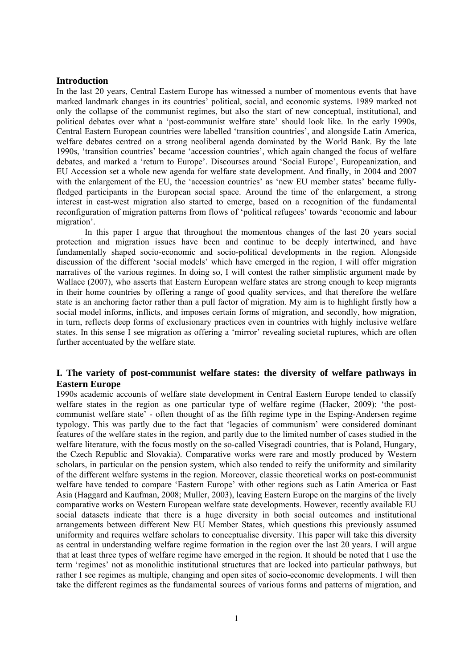#### **Introduction**

In the last 20 years, Central Eastern Europe has witnessed a number of momentous events that have marked landmark changes in its countries' political, social, and economic systems. 1989 marked not only the collapse of the communist regimes, but also the start of new conceptual, institutional, and political debates over what a 'post-communist welfare state' should look like. In the early 1990s, Central Eastern European countries were labelled 'transition countries', and alongside Latin America, welfare debates centred on a strong neoliberal agenda dominated by the World Bank. By the late 1990s, 'transition countries' became 'accession countries', which again changed the focus of welfare debates, and marked a 'return to Europe'. Discourses around 'Social Europe', Europeanization, and EU Accession set a whole new agenda for welfare state development. And finally, in 2004 and 2007 with the enlargement of the EU, the 'accession countries' as 'new EU member states' became fullyfledged participants in the European social space. Around the time of the enlargement, a strong interest in east-west migration also started to emerge, based on a recognition of the fundamental reconfiguration of migration patterns from flows of 'political refugees' towards 'economic and labour migration'.

In this paper I argue that throughout the momentous changes of the last 20 years social protection and migration issues have been and continue to be deeply intertwined, and have fundamentally shaped socio-economic and socio-political developments in the region. Alongside discussion of the different 'social models' which have emerged in the region, I will offer migration narratives of the various regimes. In doing so, I will contest the rather simplistic argument made by Wallace (2007), who asserts that Eastern European welfare states are strong enough to keep migrants in their home countries by offering a range of good quality services, and that therefore the welfare state is an anchoring factor rather than a pull factor of migration. My aim is to highlight firstly how a social model informs, inflicts, and imposes certain forms of migration, and secondly, how migration, in turn, reflects deep forms of exclusionary practices even in countries with highly inclusive welfare states. In this sense I see migration as offering a 'mirror' revealing societal ruptures, which are often further accentuated by the welfare state.

## **I. The variety of post-communist welfare states: the diversity of welfare pathways in Eastern Europe**

1990s academic accounts of welfare state development in Central Eastern Europe tended to classify welfare states in the region as one particular type of welfare regime (Hacker, 2009): 'the postcommunist welfare state' - often thought of as the fifth regime type in the Esping-Andersen regime typology. This was partly due to the fact that 'legacies of communism' were considered dominant features of the welfare states in the region, and partly due to the limited number of cases studied in the welfare literature, with the focus mostly on the so-called Visegradi countries, that is Poland, Hungary, the Czech Republic and Slovakia). Comparative works were rare and mostly produced by Western scholars, in particular on the pension system, which also tended to reify the uniformity and similarity of the different welfare systems in the region. Moreover, classic theoretical works on post-communist welfare have tended to compare 'Eastern Europe' with other regions such as Latin America or East Asia (Haggard and Kaufman, 2008; Muller, 2003), leaving Eastern Europe on the margins of the lively comparative works on Western European welfare state developments. However, recently available EU social datasets indicate that there is a huge diversity in both social outcomes and institutional arrangements between different New EU Member States, which questions this previously assumed uniformity and requires welfare scholars to conceptualise diversity. This paper will take this diversity as central in understanding welfare regime formation in the region over the last 20 years. I will argue that at least three types of welfare regime have emerged in the region. It should be noted that I use the term 'regimes' not as monolithic institutional structures that are locked into particular pathways, but rather I see regimes as multiple, changing and open sites of socio-economic developments. I will then take the different regimes as the fundamental sources of various forms and patterns of migration, and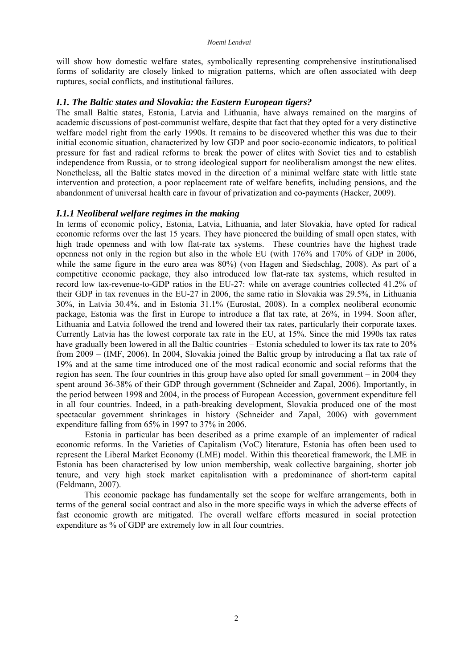will show how domestic welfare states, symbolically representing comprehensive institutionalised forms of solidarity are closely linked to migration patterns, which are often associated with deep ruptures, social conflicts, and institutional failures.

#### *I.1. The Baltic states and Slovakia: the Eastern European tigers?*

The small Baltic states, Estonia, Latvia and Lithuania, have always remained on the margins of academic discussions of post-communist welfare, despite that fact that they opted for a very distinctive welfare model right from the early 1990s. It remains to be discovered whether this was due to their initial economic situation, characterized by low GDP and poor socio-economic indicators, to political pressure for fast and radical reforms to break the power of elites with Soviet ties and to establish independence from Russia, or to strong ideological support for neoliberalism amongst the new elites. Nonetheless, all the Baltic states moved in the direction of a minimal welfare state with little state intervention and protection, a poor replacement rate of welfare benefits, including pensions, and the abandonment of universal health care in favour of privatization and co-payments (Hacker, 2009).

#### *I.1.1 Neoliberal welfare regimes in the making*

In terms of economic policy, Estonia, Latvia, Lithuania, and later Slovakia, have opted for radical economic reforms over the last 15 years. They have pioneered the building of small open states, with high trade openness and with low flat-rate tax systems. These countries have the highest trade openness not only in the region but also in the whole EU (with 176% and 170% of GDP in 2006, while the same figure in the euro area was 80%) (von Hagen and Siedschlag, 2008). As part of a competitive economic package, they also introduced low flat-rate tax systems, which resulted in record low tax-revenue-to-GDP ratios in the EU-27: while on average countries collected 41.2% of their GDP in tax revenues in the EU-27 in 2006, the same ratio in Slovakia was 29.5%, in Lithuania 30%, in Latvia 30.4%, and in Estonia 31.1% (Eurostat, 2008). In a complex neoliberal economic package, Estonia was the first in Europe to introduce a flat tax rate, at 26%, in 1994. Soon after, Lithuania and Latvia followed the trend and lowered their tax rates, particularly their corporate taxes. Currently Latvia has the lowest corporate tax rate in the EU, at 15%. Since the mid 1990s tax rates have gradually been lowered in all the Baltic countries – Estonia scheduled to lower its tax rate to 20% from 2009 – (IMF, 2006). In 2004, Slovakia joined the Baltic group by introducing a flat tax rate of 19% and at the same time introduced one of the most radical economic and social reforms that the region has seen. The four countries in this group have also opted for small government – in 2004 they spent around 36-38% of their GDP through government (Schneider and Zapal, 2006). Importantly, in the period between 1998 and 2004, in the process of European Accession, government expenditure fell in all four countries. Indeed, in a path-breaking development, Slovakia produced one of the most spectacular government shrinkages in history (Schneider and Zapal, 2006) with government expenditure falling from 65% in 1997 to 37% in 2006.

Estonia in particular has been described as a prime example of an implementer of radical economic reforms. In the Varieties of Capitalism (VoC) literature, Estonia has often been used to represent the Liberal Market Economy (LME) model. Within this theoretical framework, the LME in Estonia has been characterised by low union membership, weak collective bargaining, shorter job tenure, and very high stock market capitalisation with a predominance of short-term capital (Feldmann, 2007).

 This economic package has fundamentally set the scope for welfare arrangements, both in terms of the general social contract and also in the more specific ways in which the adverse effects of fast economic growth are mitigated. The overall welfare efforts measured in social protection expenditure as % of GDP are extremely low in all four countries.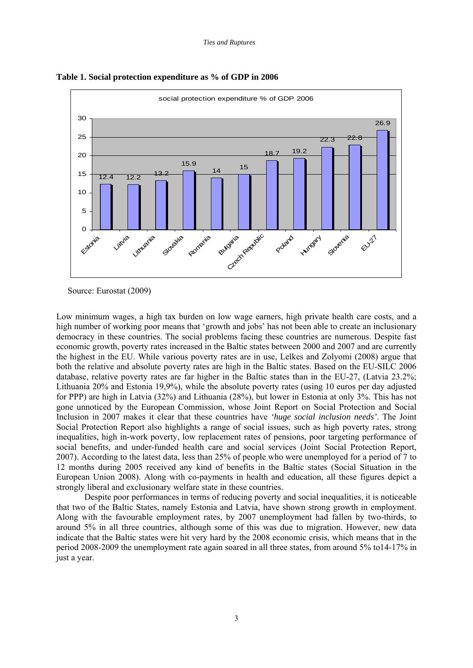

**Table 1. Social protection expenditure as % of GDP in 2006** 

Source: Eurostat (2009)

Low minimum wages, a high tax burden on low wage earners, high private health care costs, and a high number of working poor means that 'growth and jobs' has not been able to create an inclusionary democracy in these countries. The social problems facing these countries are numerous. Despite fast economic growth, poverty rates increased in the Baltic states between 2000 and 2007 and are currently the highest in the EU. While various poverty rates are in use, Lelkes and Zolyomi (2008) argue that both the relative and absolute poverty rates are high in the Baltic states. Based on the EU-SILC 2006 database, relative poverty rates are far higher in the Baltic states than in the EU-27, (Latvia 23.2%; Lithuania 20% and Estonia 19,9%), while the absolute poverty rates (using 10 euros per day adjusted for PPP) are high in Latvia (32%) and Lithuania (28%), but lower in Estonia at only 3%. This has not gone unnoticed by the European Commission, whose Joint Report on Social Protection and Social Inclusion in 2007 makes it clear that these countries have *'huge social inclusion needs'*. The Joint Social Protection Report also highlights a range of social issues, such as high poverty rates, strong inequalities, high in-work poverty, low replacement rates of pensions, poor targeting performance of social benefits, and under-funded health care and social services (Joint Social Protection Report, 2007). According to the latest data, less than 25% of people who were unemployed for a period of 7 to 12 months during 2005 received any kind of benefits in the Baltic states (Social Situation in the European Union 2008). Along with co-payments in health and education, all these figures depict a strongly liberal and exclusionary welfare state in these countries.

Despite poor performances in terms of reducing poverty and social inequalities, it is noticeable that two of the Baltic States, namely Estonia and Latvia, have shown strong growth in employment. Along with the favourable employment rates, by 2007 unemployment had fallen by two-thirds, to around 5% in all three countries, although some of this was due to migration. However, new data indicate that the Baltic states were hit very hard by the 2008 economic crisis, which means that in the period 2008-2009 the unemployment rate again soared in all three states, from around 5% to14-17% in just a year.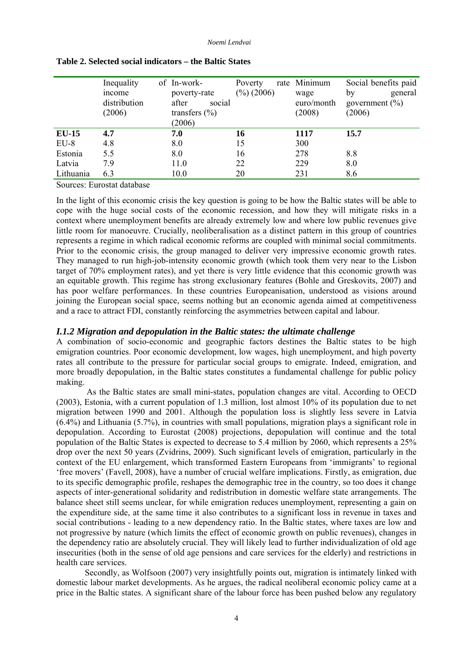*Noemi Lendvai* 

|           | Inequality<br>income<br>distribution<br>(2006) | of In-work-<br>poverty-rate<br>social<br>after<br>transfers $(\% )$<br>(2006) | Poverty<br>$(\frac{9}{6})$ (2006) | rate Minimum<br>wage<br>euro/month<br>(2008) | Social benefits paid<br>general<br>by<br>government $(\% )$<br>(2006) |
|-----------|------------------------------------------------|-------------------------------------------------------------------------------|-----------------------------------|----------------------------------------------|-----------------------------------------------------------------------|
| $EU-15$   | 4.7                                            | 7.0                                                                           | 16                                | 1117                                         | 15.7                                                                  |
| $EU-8$    | 4.8                                            | 8.0                                                                           | 15                                | 300                                          |                                                                       |
| Estonia   | 5.5                                            | 8.0                                                                           | 16                                | 278                                          | 8.8                                                                   |
| Latvia    | 7.9                                            | 11.0                                                                          | 22                                | 229                                          | 8.0                                                                   |
| Lithuania | 6.3                                            | 10.0                                                                          | 20                                | 231                                          | 8.6                                                                   |
|           |                                                |                                                                               |                                   |                                              |                                                                       |

#### **Table 2. Selected social indicators – the Baltic States**

Sources: Eurostat database

In the light of this economic crisis the key question is going to be how the Baltic states will be able to cope with the huge social costs of the economic recession, and how they will mitigate risks in a context where unemployment benefits are already extremely low and where low public revenues give little room for manoeuvre. Crucially, neoliberalisation as a distinct pattern in this group of countries represents a regime in which radical economic reforms are coupled with minimal social commitments. Prior to the economic crisis, the group managed to deliver very impressive economic growth rates. They managed to run high-job-intensity economic growth (which took them very near to the Lisbon target of 70% employment rates), and yet there is very little evidence that this economic growth was an equitable growth. This regime has strong exclusionary features (Bohle and Greskovits, 2007) and has poor welfare performances. In these countries Europeanisation, understood as visions around joining the European social space, seems nothing but an economic agenda aimed at competitiveness and a race to attract FDI, constantly reinforcing the asymmetries between capital and labour.

# *I.1.2 Migration and depopulation in the Baltic states: the ultimate challenge*

A combination of socio-economic and geographic factors destines the Baltic states to be high emigration countries. Poor economic development, low wages, high unemployment, and high poverty rates all contribute to the pressure for particular social groups to emigrate. Indeed, emigration, and more broadly depopulation, in the Baltic states constitutes a fundamental challenge for public policy making.

 As the Baltic states are small mini-states, population changes are vital. According to OECD (2003), Estonia, with a current population of 1.3 million, lost almost 10% of its population due to net migration between 1990 and 2001. Although the population loss is slightly less severe in Latvia (6.4%) and Lithuania (5.7%), in countries with small populations, migration plays a significant role in depopulation. According to Eurostat (2008) projections, depopulation will continue and the total population of the Baltic States is expected to decrease to 5.4 million by 2060, which represents a 25% drop over the next 50 years (Zvidrins, 2009). Such significant levels of emigration, particularly in the context of the EU enlargement, which transformed Eastern Europeans from 'immigrants' to regional 'free movers' (Favell, 2008), have a number of crucial welfare implications. Firstly, as emigration, due to its specific demographic profile, reshapes the demographic tree in the country, so too does it change aspects of inter-generational solidarity and redistribution in domestic welfare state arrangements. The balance sheet still seems unclear, for while emigration reduces unemployment, representing a gain on the expenditure side, at the same time it also contributes to a significant loss in revenue in taxes and social contributions - leading to a new dependency ratio. In the Baltic states, where taxes are low and not progressive by nature (which limits the effect of economic growth on public revenues), changes in the dependency ratio are absolutely crucial. They will likely lead to further individualization of old age insecurities (both in the sense of old age pensions and care services for the elderly) and restrictions in health care services.

Secondly, as Wolfsoon (2007) very insightfully points out, migration is intimately linked with domestic labour market developments. As he argues, the radical neoliberal economic policy came at a price in the Baltic states. A significant share of the labour force has been pushed below any regulatory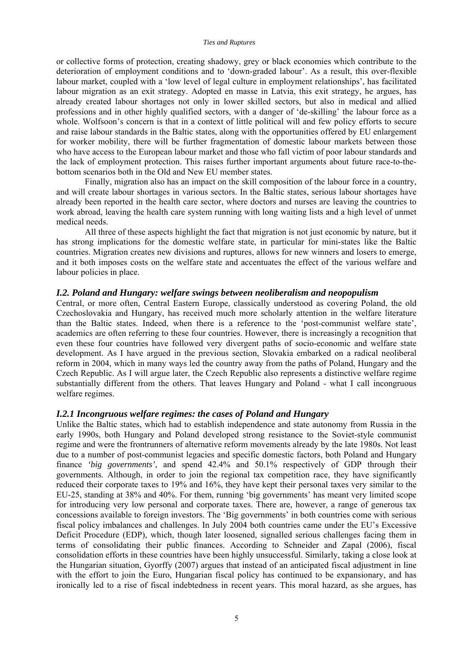or collective forms of protection, creating shadowy, grey or black economies which contribute to the deterioration of employment conditions and to 'down-graded labour'. As a result, this over-flexible labour market, coupled with a 'low level of legal culture in employment relationships', has facilitated labour migration as an exit strategy. Adopted en masse in Latvia, this exit strategy, he argues, has already created labour shortages not only in lower skilled sectors, but also in medical and allied professions and in other highly qualified sectors, with a danger of 'de-skilling' the labour force as a whole. Wolfsoon's concern is that in a context of little political will and few policy efforts to secure and raise labour standards in the Baltic states, along with the opportunities offered by EU enlargement for worker mobility, there will be further fragmentation of domestic labour markets between those who have access to the European labour market and those who fall victim of poor labour standards and the lack of employment protection. This raises further important arguments about future race-to-thebottom scenarios both in the Old and New EU member states.

Finally, migration also has an impact on the skill composition of the labour force in a country, and will create labour shortages in various sectors. In the Baltic states, serious labour shortages have already been reported in the health care sector, where doctors and nurses are leaving the countries to work abroad, leaving the health care system running with long waiting lists and a high level of unmet medical needs.

All three of these aspects highlight the fact that migration is not just economic by nature, but it has strong implications for the domestic welfare state, in particular for mini-states like the Baltic countries. Migration creates new divisions and ruptures, allows for new winners and losers to emerge, and it both imposes costs on the welfare state and accentuates the effect of the various welfare and labour policies in place.

## *I.2. Poland and Hungary: welfare swings between neoliberalism and neopopulism*

Central, or more often, Central Eastern Europe, classically understood as covering Poland, the old Czechoslovakia and Hungary, has received much more scholarly attention in the welfare literature than the Baltic states. Indeed, when there is a reference to the 'post-communist welfare state', academics are often referring to these four countries. However, there is increasingly a recognition that even these four countries have followed very divergent paths of socio-economic and welfare state development. As I have argued in the previous section, Slovakia embarked on a radical neoliberal reform in 2004, which in many ways led the country away from the paths of Poland, Hungary and the Czech Republic. As I will argue later, the Czech Republic also represents a distinctive welfare regime substantially different from the others. That leaves Hungary and Poland - what I call incongruous welfare regimes.

#### *I.2.1 Incongruous welfare regimes: the cases of Poland and Hungary*

Unlike the Baltic states, which had to establish independence and state autonomy from Russia in the early 1990s, both Hungary and Poland developed strong resistance to the Soviet-style communist regime and were the frontrunners of alternative reform movements already by the late 1980s. Not least due to a number of post-communist legacies and specific domestic factors, both Poland and Hungary finance *'big governments'*, and spend 42.4% and 50.1% respectively of GDP through their governments. Although, in order to join the regional tax competition race, they have significantly reduced their corporate taxes to 19% and 16%, they have kept their personal taxes very similar to the EU-25, standing at 38% and 40%. For them, running 'big governments' has meant very limited scope for introducing very low personal and corporate taxes. There are, however, a range of generous tax concessions available to foreign investors. The 'Big governments' in both countries come with serious fiscal policy imbalances and challenges. In July 2004 both countries came under the EU's Excessive Deficit Procedure (EDP), which, though later loosened, signalled serious challenges facing them in terms of consolidating their public finances. According to Schneider and Zapal (2006), fiscal consolidation efforts in these countries have been highly unsuccessful. Similarly, taking a close look at the Hungarian situation, Gyorffy (2007) argues that instead of an anticipated fiscal adjustment in line with the effort to join the Euro, Hungarian fiscal policy has continued to be expansionary, and has ironically led to a rise of fiscal indebtedness in recent years. This moral hazard, as she argues, has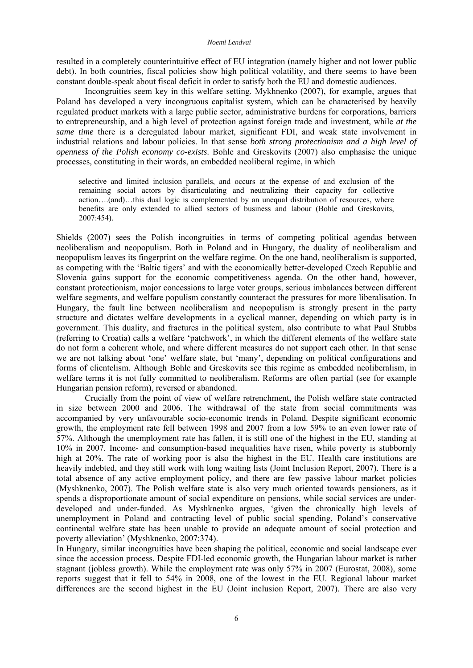#### *Noemi Lendvai*

resulted in a completely counterintuitive effect of EU integration (namely higher and not lower public debt). In both countries, fiscal policies show high political volatility, and there seems to have been constant double-speak about fiscal deficit in order to satisfy both the EU and domestic audiences.

Incongruities seem key in this welfare setting. Mykhnenko (2007), for example, argues that Poland has developed a very incongruous capitalist system, which can be characterised by heavily regulated product markets with a large public sector, administrative burdens for corporations, barriers to entrepreneurship, and a high level of protection against foreign trade and investment, while *at the same time* there is a deregulated labour market, significant FDI, and weak state involvement in industrial relations and labour policies. In that sense *both strong protectionism and a high level of openness of the Polish economy co-exists*. Bohle and Greskovits (2007) also emphasise the unique processes, constituting in their words, an embedded neoliberal regime, in which

selective and limited inclusion parallels, and occurs at the expense of and exclusion of the remaining social actors by disarticulating and neutralizing their capacity for collective action….(and)…this dual logic is complemented by an unequal distribution of resources, where benefits are only extended to allied sectors of business and labour (Bohle and Greskovits, 2007:454).

Shields (2007) sees the Polish incongruities in terms of competing political agendas between neoliberalism and neopopulism. Both in Poland and in Hungary, the duality of neoliberalism and neopopulism leaves its fingerprint on the welfare regime. On the one hand, neoliberalism is supported, as competing with the 'Baltic tigers' and with the economically better-developed Czech Republic and Slovenia gains support for the economic competitiveness agenda. On the other hand, however, constant protectionism, major concessions to large voter groups, serious imbalances between different welfare segments, and welfare populism constantly counteract the pressures for more liberalisation. In Hungary, the fault line between neoliberalism and neopopulism is strongly present in the party structure and dictates welfare developments in a cyclical manner, depending on which party is in government. This duality, and fractures in the political system, also contribute to what Paul Stubbs (referring to Croatia) calls a welfare 'patchwork', in which the different elements of the welfare state do not form a coherent whole, and where different measures do not support each other. In that sense we are not talking about 'one' welfare state, but 'many', depending on political configurations and forms of clientelism. Although Bohle and Greskovits see this regime as embedded neoliberalism, in welfare terms it is not fully committed to neoliberalism. Reforms are often partial (see for example Hungarian pension reform), reversed or abandoned.

Crucially from the point of view of welfare retrenchment, the Polish welfare state contracted in size between 2000 and 2006. The withdrawal of the state from social commitments was accompanied by very unfavourable socio-economic trends in Poland. Despite significant economic growth, the employment rate fell between 1998 and 2007 from a low 59% to an even lower rate of 57%. Although the unemployment rate has fallen, it is still one of the highest in the EU, standing at 10% in 2007. Income- and consumption-based inequalities have risen, while poverty is stubbornly high at 20%. The rate of working poor is also the highest in the EU. Health care institutions are heavily indebted, and they still work with long waiting lists (Joint Inclusion Report, 2007). There is a total absence of any active employment policy, and there are few passive labour market policies (Myshknenko, 2007). The Polish welfare state is also very much oriented towards pensioners, as it spends a disproportionate amount of social expenditure on pensions, while social services are underdeveloped and under-funded. As Myshknenko argues, 'given the chronically high levels of unemployment in Poland and contracting level of public social spending, Poland's conservative continental welfare state has been unable to provide an adequate amount of social protection and poverty alleviation' (Myshknenko, 2007:374).

In Hungary, similar incongruities have been shaping the political, economic and social landscape ever since the accession process. Despite FDI-led economic growth, the Hungarian labour market is rather stagnant (jobless growth). While the employment rate was only 57% in 2007 (Eurostat, 2008), some reports suggest that it fell to 54% in 2008, one of the lowest in the EU. Regional labour market differences are the second highest in the EU (Joint inclusion Report, 2007). There are also very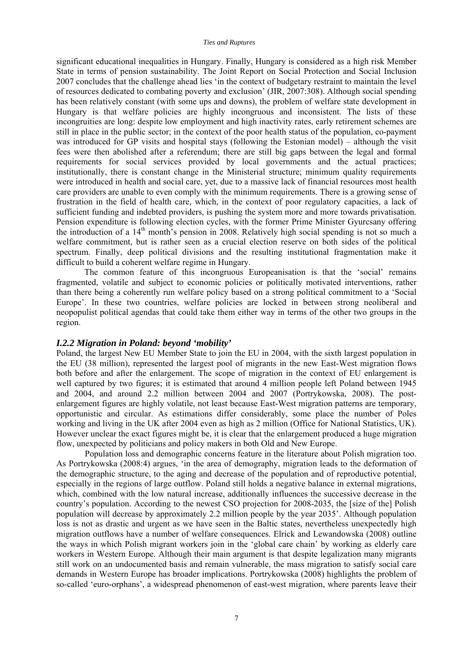significant educational inequalities in Hungary. Finally, Hungary is considered as a high risk Member State in terms of pension sustainability. The Joint Report on Social Protection and Social Inclusion 2007 concludes that the challenge ahead lies 'in the context of budgetary restraint to maintain the level of resources dedicated to combating poverty and exclusion' (JIR, 2007:308). Although social spending has been relatively constant (with some ups and downs), the problem of welfare state development in Hungary is that welfare policies are highly incongruous and inconsistent. The lists of these incongruities are long: despite low employment and high inactivity rates, early retirement schemes are still in place in the public sector; in the context of the poor health status of the population, co-payment was introduced for GP visits and hospital stays (following the Estonian model) – although the visit fees were then abolished after a referendum; there are still big gaps between the legal and formal requirements for social services provided by local governments and the actual practices; institutionally, there is constant change in the Ministerial structure; minimum quality requirements were introduced in health and social care, yet, due to a massive lack of financial resources most health care providers are unable to even comply with the minimum requirements. There is a growing sense of frustration in the field of health care, which, in the context of poor regulatory capacities, a lack of sufficient funding and indebted providers, is pushing the system more and more towards privatisation. Pension expenditure is following election cycles, with the former Prime Minister Gyurcsany offering the introduction of a 14th month's pension in 2008. Relatively high social spending is not so much a welfare commitment, but is rather seen as a crucial election reserve on both sides of the political spectrum. Finally, deep political divisions and the resulting institutional fragmentation make it difficult to build a coherent welfare regime in Hungary.

The common feature of this incongruous Europeanisation is that the 'social' remains fragmented, volatile and subject to economic policies or politically motivated interventions, rather than there being a coherently run welfare policy based on a strong political commitment to a 'Social Europe'. In these two countries, welfare policies are locked in between strong neoliberal and neopopulist political agendas that could take them either way in terms of the other two groups in the region.

#### *I.2.2 Migration in Poland: beyond 'mobility'*

Poland, the largest New EU Member State to join the EU in 2004, with the sixth largest population in the EU (38 million), represented the largest pool of migrants in the new East-West migration flows both before and after the enlargement. The scope of migration in the context of EU enlargement is well captured by two figures; it is estimated that around 4 million people left Poland between 1945 and 2004, and around 2.2 million between 2004 and 2007 (Portrykowska, 2008). The postenlargement figures are highly volatile, not least because East-West migration patterns are temporary, opportunistic and circular. As estimations differ considerably, some place the number of Poles working and living in the UK after 2004 even as high as 2 million (Office for National Statistics, UK). However unclear the exact figures might be, it is clear that the enlargement produced a huge migration flow, unexpected by politicians and policy makers in both Old and New Europe.

Population loss and demographic concerns feature in the literature about Polish migration too. As Portrykowska (2008:4) argues, 'in the area of demography, migration leads to the deformation of the demographic structure, to the aging and decrease of the population and of reproductive potential, especially in the regions of large outflow. Poland still holds a negative balance in external migrations, which, combined with the low natural increase, additionally influences the successive decrease in the country's population. According to the newest CSO projection for 2008-2035, the [size of the] Polish population will decrease by approximately 2.2 million people by the year 2035'. Although population loss is not as drastic and urgent as we have seen in the Baltic states, nevertheless unexpectedly high migration outflows have a number of welfare consequences. Elrick and Lewandowska (2008) outline the ways in which Polish migrant workers join in the 'global care chain' by working as elderly care workers in Western Europe. Although their main argument is that despite legalization many migrants still work on an undocumented basis and remain vulnerable, the mass migration to satisfy social care demands in Western Europe has broader implications. Portrykowska (2008) highlights the problem of so-called 'euro-orphans', a widespread phenomenon of east-west migration, where parents leave their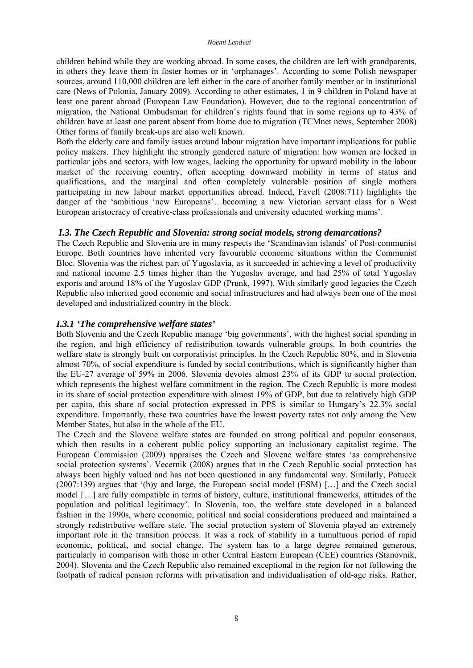children behind while they are working abroad. In some cases, the children are left with grandparents, in others they leave them in foster homes or in 'orphanages'. According to some Polish newspaper sources, around 110,000 children are left either in the care of another family member or in institutional care (News of Polonia, January 2009). According to other estimates, 1 in 9 children in Poland have at least one parent abroad (European Law Foundation). However, due to the regional concentration of migration, the National Ombudsman for children's rights found that in some regions up to 43% of children have at least one parent absent from home due to migration (TCMnet news, September 2008) Other forms of family break-ups are also well known.

Both the elderly care and family issues around labour migration have important implications for public policy makers. They highlight the strongly gendered nature of migration: how women are locked in particular jobs and sectors, with low wages, lacking the opportunity for upward mobility in the labour market of the receiving country, often accepting downward mobility in terms of status and qualifications, and the marginal and often completely vulnerable position of single mothers participating in new labour market opportunities abroad. Indeed, Favell (2008:711) highlights the danger of the 'ambitious 'new Europeans'…becoming a new Victorian servant class for a West European aristocracy of creative-class professionals and university educated working mums'.

## *I.3. The Czech Republic and Slovenia: strong social models, strong demarcations?*

The Czech Republic and Slovenia are in many respects the 'Scandinavian islands' of Post-communist Europe. Both countries have inherited very favourable economic situations within the Communist Bloc. Slovenia was the richest part of Yugoslavia, as it succeeded in achieving a level of productivity and national income 2.5 times higher than the Yugoslav average, and had 25% of total Yugoslav exports and around 18% of the Yugoslav GDP (Prunk, 1997). With similarly good legacies the Czech Republic also inherited good economic and social infrastructures and had always been one of the most developed and industrialized country in the block.

#### *I.3.1 'The comprehensive welfare states'*

Both Slovenia and the Czech Republic manage 'big governments', with the highest social spending in the region, and high efficiency of redistribution towards vulnerable groups. In both countries the welfare state is strongly built on corporativist principles. In the Czech Republic 80%, and in Slovenia almost 70%, of social expenditure is funded by social contributions, which is significantly higher than the EU-27 average of 59% in 2006. Slovenia devotes almost 23% of its GDP to social protection, which represents the highest welfare commitment in the region. The Czech Republic is more modest in its share of social protection expenditure with almost 19% of GDP, but due to relatively high GDP per capita, this share of social protection expressed in PPS is similar to Hungary's 22.3% social expenditure. Importantly, these two countries have the lowest poverty rates not only among the New Member States, but also in the whole of the EU.

The Czech and the Slovene welfare states are founded on strong political and popular consensus, which then results in a coherent public policy supporting an inclusionary capitalist regime. The European Commission (2009) appraises the Czech and Slovene welfare states 'as comprehensive social protection systems'. Vecernik (2008) argues that in the Czech Republic social protection has always been highly valued and has not been questioned in any fundamental way. Similarly, Potucek (2007:139) argues that '(b)y and large, the European social model (ESM) […] and the Czech social model […] are fully compatible in terms of history, culture, institutional frameworks, attitudes of the population and political legitimacy'. In Slovenia, too, the welfare state developed in a balanced fashion in the 1990s, where economic, political and social considerations produced and maintained a strongly redistributive welfare state. The social protection system of Slovenia played an extremely important role in the transition process. It was a rock of stability in a tumultuous period of rapid economic, political, and social change. The system has to a large degree remained generous, particularly in comparison with those in other Central Eastern European (CEE) countries (Stanovnik, 2004). Slovenia and the Czech Republic also remained exceptional in the region for not following the footpath of radical pension reforms with privatisation and individualisation of old-age risks. Rather,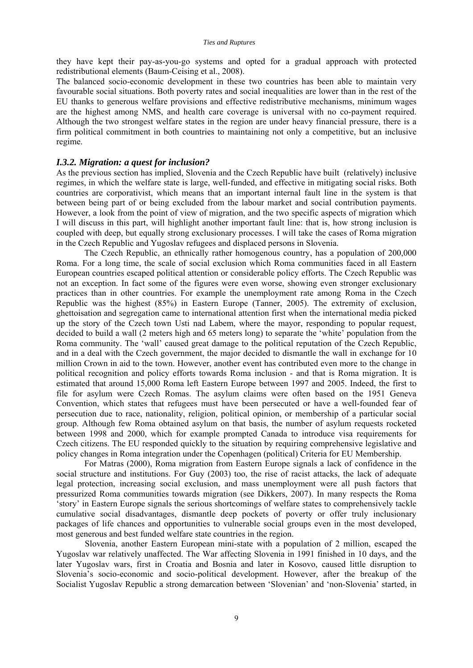they have kept their pay-as-you-go systems and opted for a gradual approach with protected redistributional elements (Baum-Ceising et al., 2008).

The balanced socio-economic development in these two countries has been able to maintain very favourable social situations. Both poverty rates and social inequalities are lower than in the rest of the EU thanks to generous welfare provisions and effective redistributive mechanisms, minimum wages are the highest among NMS, and health care coverage is universal with no co-payment required. Although the two strongest welfare states in the region are under heavy financial pressure, there is a firm political commitment in both countries to maintaining not only a competitive, but an inclusive regime.

#### *I.3.2. Migration: a quest for inclusion?*

As the previous section has implied, Slovenia and the Czech Republic have built (relatively) inclusive regimes, in which the welfare state is large, well-funded, and effective in mitigating social risks. Both countries are corporativist, which means that an important internal fault line in the system is that between being part of or being excluded from the labour market and social contribution payments. However, a look from the point of view of migration, and the two specific aspects of migration which I will discuss in this part, will highlight another important fault line: that is, how strong inclusion is coupled with deep, but equally strong exclusionary processes. I will take the cases of Roma migration in the Czech Republic and Yugoslav refugees and displaced persons in Slovenia.

 The Czech Republic, an ethnically rather homogenous country, has a population of 200,000 Roma. For a long time, the scale of social exclusion which Roma communities faced in all Eastern European countries escaped political attention or considerable policy efforts. The Czech Republic was not an exception. In fact some of the figures were even worse, showing even stronger exclusionary practices than in other countries. For example the unemployment rate among Roma in the Czech Republic was the highest (85%) in Eastern Europe (Tanner, 2005). The extremity of exclusion, ghettoisation and segregation came to international attention first when the international media picked up the story of the Czech town Usti nad Labem, where the mayor, responding to popular request, decided to build a wall (2 meters high and 65 meters long) to separate the 'white' population from the Roma community. The 'wall' caused great damage to the political reputation of the Czech Republic, and in a deal with the Czech government, the major decided to dismantle the wall in exchange for 10 million Crown in aid to the town. However, another event has contributed even more to the change in political recognition and policy efforts towards Roma inclusion - and that is Roma migration. It is estimated that around 15,000 Roma left Eastern Europe between 1997 and 2005. Indeed, the first to file for asylum were Czech Romas. The asylum claims were often based on the 1951 Geneva Convention, which states that refugees must have been persecuted or have a well-founded fear of persecution due to race, nationality, religion, political opinion, or membership of a particular social group. Although few Roma obtained asylum on that basis, the number of asylum requests rocketed between 1998 and 2000, which for example prompted Canada to introduce visa requirements for Czech citizens. The EU responded quickly to the situation by requiring comprehensive legislative and policy changes in Roma integration under the Copenhagen (political) Criteria for EU Membership.

 For Matras (2000), Roma migration from Eastern Europe signals a lack of confidence in the social structure and institutions. For Guy (2003) too, the rise of racist attacks, the lack of adequate legal protection, increasing social exclusion, and mass unemployment were all push factors that pressurized Roma communities towards migration (see Dikkers, 2007). In many respects the Roma 'story' in Eastern Europe signals the serious shortcomings of welfare states to comprehensively tackle cumulative social disadvantages, dismantle deep pockets of poverty or offer truly inclusionary packages of life chances and opportunities to vulnerable social groups even in the most developed, most generous and best funded welfare state countries in the region.

Slovenia, another Eastern European mini-state with a population of 2 million, escaped the Yugoslav war relatively unaffected. The War affecting Slovenia in 1991 finished in 10 days, and the later Yugoslav wars, first in Croatia and Bosnia and later in Kosovo, caused little disruption to Slovenia's socio-economic and socio-political development. However, after the breakup of the Socialist Yugoslav Republic a strong demarcation between 'Slovenian' and 'non-Slovenia' started, in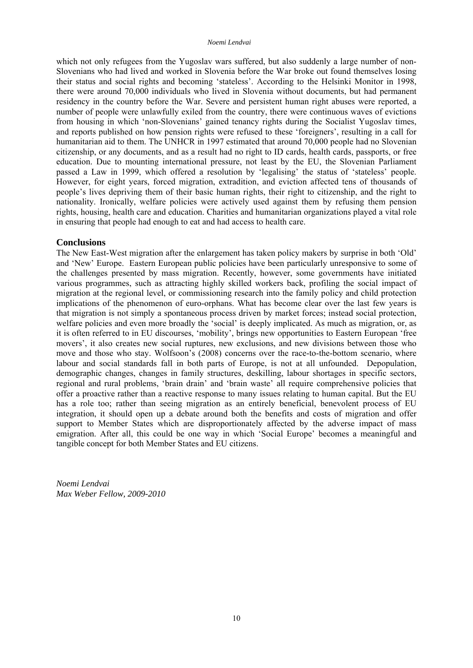which not only refugees from the Yugoslav wars suffered, but also suddenly a large number of non-Slovenians who had lived and worked in Slovenia before the War broke out found themselves losing their status and social rights and becoming 'stateless'. According to the Helsinki Monitor in 1998, there were around 70,000 individuals who lived in Slovenia without documents, but had permanent residency in the country before the War. Severe and persistent human right abuses were reported, a number of people were unlawfully exiled from the country, there were continuous waves of evictions from housing in which 'non-Slovenians' gained tenancy rights during the Socialist Yugoslav times, and reports published on how pension rights were refused to these 'foreigners', resulting in a call for humanitarian aid to them. The UNHCR in 1997 estimated that around 70,000 people had no Slovenian citizenship, or any documents, and as a result had no right to ID cards, health cards, passports, or free education. Due to mounting international pressure, not least by the EU, the Slovenian Parliament passed a Law in 1999, which offered a resolution by 'legalising' the status of 'stateless' people. However, for eight years, forced migration, extradition, and eviction affected tens of thousands of people's lives depriving them of their basic human rights, their right to citizenship, and the right to nationality. Ironically, welfare policies were actively used against them by refusing them pension rights, housing, health care and education. Charities and humanitarian organizations played a vital role in ensuring that people had enough to eat and had access to health care.

## **Conclusions**

The New East-West migration after the enlargement has taken policy makers by surprise in both 'Old' and 'New' Europe. Eastern European public policies have been particularly unresponsive to some of the challenges presented by mass migration. Recently, however, some governments have initiated various programmes, such as attracting highly skilled workers back, profiling the social impact of migration at the regional level, or commissioning research into the family policy and child protection implications of the phenomenon of euro-orphans. What has become clear over the last few years is that migration is not simply a spontaneous process driven by market forces; instead social protection, welfare policies and even more broadly the 'social' is deeply implicated. As much as migration, or, as it is often referred to in EU discourses, 'mobility', brings new opportunities to Eastern European 'free movers', it also creates new social ruptures, new exclusions, and new divisions between those who move and those who stay. Wolfsoon's (2008) concerns over the race-to-the-bottom scenario, where labour and social standards fall in both parts of Europe, is not at all unfounded. Depopulation, demographic changes, changes in family structures, deskilling, labour shortages in specific sectors, regional and rural problems, 'brain drain' and 'brain waste' all require comprehensive policies that offer a proactive rather than a reactive response to many issues relating to human capital. But the EU has a role too; rather than seeing migration as an entirely beneficial, benevolent process of EU integration, it should open up a debate around both the benefits and costs of migration and offer support to Member States which are disproportionately affected by the adverse impact of mass emigration. After all, this could be one way in which 'Social Europe' becomes a meaningful and tangible concept for both Member States and EU citizens.

*Noemi Lendvai Max Weber Fellow, 2009-2010*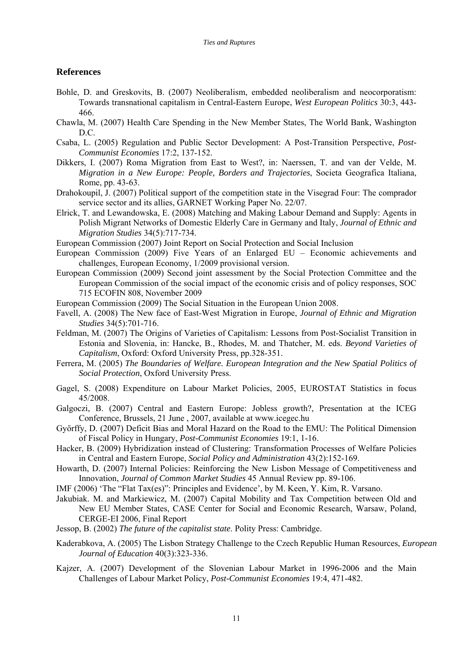#### **References**

- Bohle, D. and Greskovits, B. (2007) Neoliberalism, embedded neoliberalism and neocorporatism: Towards transnational capitalism in Central-Eastern Europe, *West European Politics* 30:3, 443- 466.
- Chawla, M. (2007) Health Care Spending in the New Member States, The World Bank, Washington D.C.
- Csaba, L. (2005) Regulation and Public Sector Development: A Post-Transition Perspective, *Post-Communist Economies* 17:2, 137-152.
- Dikkers, I. (2007) Roma Migration from East to West?, in: Naerssen, T. and van der Velde, M. *Migration in a New Europe: People, Borders and Trajectories*, Societa Geografica Italiana, Rome, pp. 43-63.
- Drahokoupil, J. (2007) Political support of the competition state in the Visegrad Four: The comprador service sector and its allies, GARNET Working Paper No. 22/07.
- Elrick, T. and Lewandowska, E. (2008) Matching and Making Labour Demand and Supply: Agents in Polish Migrant Networks of Domestic Elderly Care in Germany and Italy, *Journal of Ethnic and Migration Studies* 34(5):717-734.
- European Commission (2007) Joint Report on Social Protection and Social Inclusion
- European Commission (2009) Five Years of an Enlarged EU Economic achievements and challenges, European Economy, 1/2009 provisional version.
- European Commission (2009) Second joint assessment by the Social Protection Committee and the European Commission of the social impact of the economic crisis and of policy responses, SOC 715 ECOFIN 808, November 2009
- European Commission (2009) The Social Situation in the European Union 2008.
- Favell, A. (2008) The New face of East-West Migration in Europe, *Journal of Ethnic and Migration Studies* 34(5):701-716.
- Feldman, M. (2007) The Origins of Varieties of Capitalism: Lessons from Post-Socialist Transition in Estonia and Slovenia, in: Hancke, B., Rhodes, M. and Thatcher, M. eds. *Beyond Varieties of Capitalism*, Oxford: Oxford University Press, pp.328-351.
- Ferrera, M. (2005) *The Boundaries of Welfare. European Integration and the New Spatial Politics of Social Protection*, Oxford University Press.
- Gagel, S. (2008) Expenditure on Labour Market Policies, 2005, EUROSTAT Statistics in focus 45/2008.
- Galgoczi, B. (2007) Central and Eastern Europe: Jobless growth?, Presentation at the ICEG Conference, Brussels, 21 June , 2007, available at www.icegec.hu
- Győrffy, D. (2007) Deficit Bias and Moral Hazard on the Road to the EMU: The Political Dimension of Fiscal Policy in Hungary, *Post-Communist Economies* 19:1, 1-16.
- Hacker, B. (2009) Hybridization instead of Clustering: Transformation Processes of Welfare Policies in Central and Eastern Europe, *Social Policy and Administration* 43(2):152-169.
- Howarth, D. (2007) Internal Policies: Reinforcing the New Lisbon Message of Competitiveness and Innovation, *Journal of Common Market Studies* 45 Annual Review pp. 89-106.
- IMF (2006) 'The "Flat Tax(es)": Principles and Evidence', by M. Keen, Y. Kim, R. Varsano.
- Jakubiak. M. and Markiewicz, M. (2007) Capital Mobility and Tax Competition between Old and New EU Member States, CASE Center for Social and Economic Research, Warsaw, Poland, CERGE-EI 2006, Final Report
- Jessop, B. (2002) *The future of the capitalist state*. Polity Press: Cambridge.
- Kaderabkova, A. (2005) The Lisbon Strategy Challenge to the Czech Republic Human Resources, *European Journal of Education* 40(3):323-336.
- Kajzer, A. (2007) Development of the Slovenian Labour Market in 1996-2006 and the Main Challenges of Labour Market Policy, *Post-Communist Economies* 19:4, 471-482.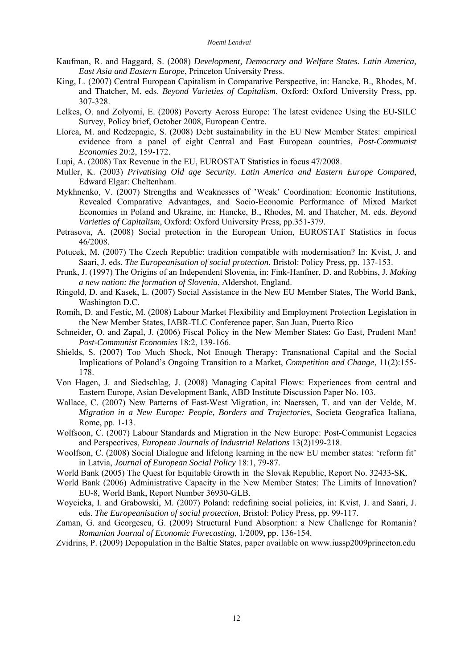- Kaufman, R. and Haggard, S. (2008) *Development, Democracy and Welfare States. Latin America, East Asia and Eastern Europe*, Princeton University Press.
- King, L. (2007) Central European Capitalism in Comparative Perspective, in: Hancke, B., Rhodes, M. and Thatcher, M. eds. *Beyond Varieties of Capitalism*, Oxford: Oxford University Press, pp. 307-328.
- Lelkes, O. and Zolyomi, E. (2008) Poverty Across Europe: The latest evidence Using the EU-SILC Survey, Policy brief, October 2008, European Centre.
- Llorca, M. and Redzepagic, S. (2008) Debt sustainability in the EU New Member States: empirical evidence from a panel of eight Central and East European countries, *Post-Communist Economies* 20:2, 159-172.

Lupi, A. (2008) Tax Revenue in the EU, EUROSTAT Statistics in focus 47/2008.

- Muller, K. (2003) *Privatising Old age Security. Latin America and Eastern Europe Compared*, Edward Elgar: Cheltenham.
- Mykhnenko, V. (2007) Strengths and Weaknesses of 'Weak' Coordination: Economic Institutions, Revealed Comparative Advantages, and Socio-Economic Performance of Mixed Market Economies in Poland and Ukraine, in: Hancke, B., Rhodes, M. and Thatcher, M. eds. *Beyond Varieties of Capitalism*, Oxford: Oxford University Press, pp.351-379.
- Petrasova, A. (2008) Social protection in the European Union, EUROSTAT Statistics in focus 46/2008.
- Potucek, M. (2007) The Czech Republic: tradition compatible with modernisation? In: Kvist, J. and Saari, J. eds. *The Europeanisation of social protection*, Bristol: Policy Press, pp. 137-153.
- Prunk, J. (1997) The Origins of an Independent Slovenia, in: Fink-Hanfner, D. and Robbins, J. *Making a new nation: the formation of Slovenia*, Aldershot, England.
- Ringold, D. and Kasek, L. (2007) Social Assistance in the New EU Member States, The World Bank, Washington D.C.
- Romih, D. and Festic, M. (2008) Labour Market Flexibility and Employment Protection Legislation in the New Member States, IABR-TLC Conference paper, San Juan, Puerto Rico
- Schneider, O. and Zapal, J. (2006) Fiscal Policy in the New Member States: Go East, Prudent Man! *Post-Communist Economies* 18:2, 139-166.
- Shields, S. (2007) Too Much Shock, Not Enough Therapy: Transnational Capital and the Social Implications of Poland's Ongoing Transition to a Market, *Competition and Change*, 11(2):155- 178.
- Von Hagen, J. and Siedschlag, J. (2008) Managing Capital Flows: Experiences from central and Eastern Europe, Asian Development Bank, ABD Institute Discussion Paper No. 103.
- Wallace, C. (2007) New Patterns of East-West Migration, in: Naerssen, T. and van der Velde, M. *Migration in a New Europe: People, Borders and Trajectories*, Societa Geografica Italiana, Rome, pp. 1-13.
- Wolfsoon, C. (2007) Labour Standards and Migration in the New Europe: Post-Communist Legacies and Perspectives, *European Journals of Industrial Relations* 13(2)199-218.
- Woolfson, C. (2008) Social Dialogue and lifelong learning in the new EU member states: 'reform fit' in Latvia, *Journal of European Social Policy* 18:1, 79-87.
- World Bank (2005) The Quest for Equitable Growth in the Slovak Republic, Report No. 32433-SK.
- World Bank (2006) Administrative Capacity in the New Member States: The Limits of Innovation? EU-8, World Bank, Report Number 36930-GLB.
- Woycicka, I. and Grabowski, M. (2007) Poland: redefining social policies, in: Kvist, J. and Saari, J. eds. *The Europeanisation of social protection*, Bristol: Policy Press, pp. 99-117.
- Zaman, G. and Georgescu, G. (2009) Structural Fund Absorption: a New Challenge for Romania? *Romanian Journal of Economic Forecasting*, 1/2009, pp. 136-154.
- Zvidrins, P. (2009) Depopulation in the Baltic States, paper available on [www.iussp2009princeton.edu](http://www.iussp2009princeton.edu/)